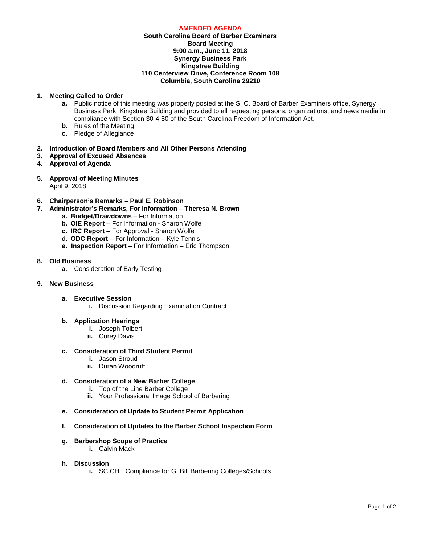#### **AMENDED AGENDA South Carolina Board of Barber Examiners Board Meeting 9:00 a.m., June 11, 2018 Synergy Business Park Kingstree Building 110 Centerview Drive, Conference Room 108 Columbia, South Carolina 29210**

# **1. Meeting Called to Order**

- **a.** Public notice of this meeting was properly posted at the S. C. Board of Barber Examiners office, Synergy Business Park, Kingstree Building and provided to all requesting persons, organizations, and news media in compliance with Section 30-4-80 of the South Carolina Freedom of Information Act.
- **b.** Rules of the Meeting
- **c.** Pledge of Allegiance
- **2. Introduction of Board Members and All Other Persons Attending**
- **3. Approval of Excused Absences**
- **4. Approval of Agenda**
- **5. Approval of Meeting Minutes** April 9, 2018

## **6. Chairperson's Remarks – Paul E. Robinson**

- **7. Administrator's Remarks, For Information – Theresa N. Brown**
	- **a. Budget/Drawdowns** For Information
	- **b. OIE Report**  For Information Sharon Wolfe
	- **c. IRC Report**  For Approval Sharon Wolfe
	- **d. ODC Report**  For Information Kyle Tennis
	- **e. Inspection Report** For Information Eric Thompson

#### **8. Old Business**

**a.** Consideration of Early Testing

## **9. New Business**

- **a. Executive Session**
	- **i.** Discussion Regarding Examination Contract
- **b. Application Hearings**
	- **i.** Joseph Tolbert
	- **ii.** Corey Davis

# **c. Consideration of Third Student Permit**

- **i.** Jason Stroud
- **ii.** Duran Woodruff

### **d. Consideration of a New Barber College**

- **i.** Top of the Line Barber College
- **ii.** Your Professional Image School of Barbering
- **e. Consideration of Update to Student Permit Application**
- **f. Consideration of Updates to the Barber School Inspection Form**
- **g. Barbershop Scope of Practice**
	- **i.** Calvin Mack
- **h. Discussion** 
	- **i.** SC CHE Compliance for GI Bill Barbering Colleges/Schools